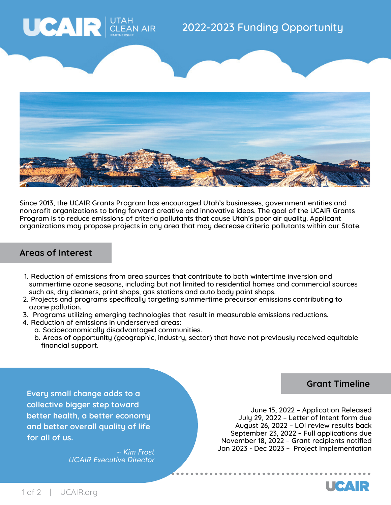



Since 2013, the UCAIR Grants Program has encouraged Utah's businesses, government entities and nonprofit organizations to bring forward creative and innovative ideas. The goal of the UCAIR Grants Program is to reduce emissions of criteria pollutants that cause Utah's poor air quality. Applicant organizations may propose projects in any area that may decrease criteria pollutants within our State.

## **Areas of Interest**

- 1. Reduction of emissions from area sources that contribute to both wintertime inversion and summertime ozone seasons, including but not limited to residential homes and commercial sources such as, dry cleaners, print shops, gas stations and auto body paint shops.
- 2. Projects and programs specifically targeting summertime precursor emissions contributing to ozone pollution.
- 3. Programs utilizing emerging technologies that result in measurable emissions reductions.
- 4. Reduction of emissions in underserved areas:
	- a. Socioeconomically disadvantaged communities.
	- b. Areas of opportunity (geographic, industry, sector) that have not previously received equitable financial support.

**Grant Timeline**

**Every small change adds to a collective bigger step toward better health, a better economy and better overall quality of life for all of us.**

> *~ Kim Frost UCAIR Executive Director*

June 15, 2022 – Application Released July 29, 2022 – Letter of Intent form due August 26, 2022 – LOI review results back September 23, 2022 – Full applications due November 18, 2022 – Grant recipients notified Jan 2023 - Dec 2023 – Project Implementation